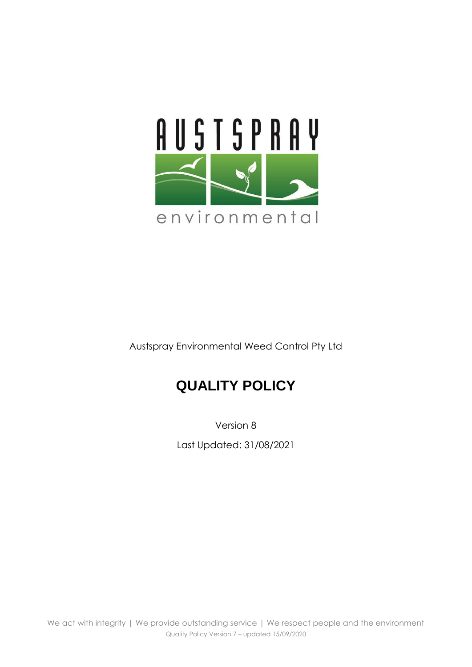

Austspray Environmental Weed Control Pty Ltd

## **QUALITY POLICY**

Version 8 Last Updated: 31/08/2021